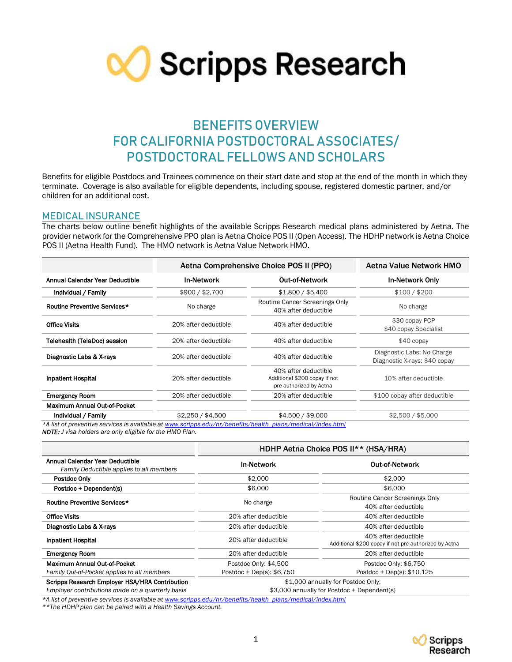

# **BENEFITS OVERVIEW FOR CALIFORNIA POSTDOCTORAL ASSOCIATES/ POSTDOCTORAL FELLOWS AND SCHOLARS**

Benefits for eligible Postdocs and Trainees commence on their start date and stop at the end of the month in which they terminate. Coverage is also available for eligible dependents, including spouse, registered domestic partner, and/or children for an additional cost.

## **MEDICAL INSURANCE**

The charts below outline benefit highlights of the available Scripps Research medical plans administered by Aetna. The provider network for the Comprehensive PPO plan is Aetna Choice POS II (Open Access). The HDHP network is Aetna Choice POS II (Aetna Health Fund). The HMO network is Aetna Value Network HMO.

|                                                                                                            | Aetna Comprehensive Choice POS II (PPO) | Aetna Value Network HMO                                                          |                                                             |  |
|------------------------------------------------------------------------------------------------------------|-----------------------------------------|----------------------------------------------------------------------------------|-------------------------------------------------------------|--|
| Annual Calendar Year Deductible                                                                            | <b>In-Network</b>                       | <b>Out-of-Network</b>                                                            | <b>In-Network Only</b>                                      |  |
| Individual / Family                                                                                        | \$900 / \$2,700                         | \$1,800 / \$5,400                                                                | \$100 / \$200                                               |  |
| Routine Preventive Services*                                                                               | No charge                               | Routine Cancer Screenings Only<br>40% after deductible                           | No charge                                                   |  |
| <b>Office Visits</b>                                                                                       | 20% after deductible                    | 40% after deductible                                                             | \$30 copay PCP<br>\$40 copay Specialist                     |  |
| Telehealth (TelaDoc) session                                                                               | 20% after deductible                    | 40% after deductible                                                             | $$40$ copay                                                 |  |
| Diagnostic Labs & X-rays                                                                                   | 20% after deductible                    | 40% after deductible                                                             | Diagnostic Labs: No Charge<br>Diagnostic X-rays: \$40 copay |  |
| <b>Inpatient Hospital</b>                                                                                  | 20% after deductible                    | 40% after deductible<br>Additional \$200 copay if not<br>pre-authorized by Aetna | 10% after deductible                                        |  |
| <b>Emergency Room</b>                                                                                      | 20% after deductible                    | 20% after deductible                                                             | \$100 copay after deductible                                |  |
| Maximum Annual Out-of-Pocket                                                                               |                                         |                                                                                  |                                                             |  |
| Individual / Family                                                                                        | \$2,250 / \$4,500                       | \$4,500 / \$9,000                                                                | \$2,500 / \$5,000                                           |  |
| *A list of preventive services is available at www.scripps.edu/hr/benefits/health_plans/medical/index.html |                                         |                                                                                  |                                                             |  |

*NOTE: J visa holders are only eligible for the HMO Plan.* 

|                                                                                                    | HDHP Aetna Choice POS II** (HSA/HRA)                                              |                                                                               |  |  |
|----------------------------------------------------------------------------------------------------|-----------------------------------------------------------------------------------|-------------------------------------------------------------------------------|--|--|
| Annual Calendar Year Deductible<br>Family Deductible applies to all members                        | <b>In-Network</b>                                                                 | <b>Out-of-Network</b>                                                         |  |  |
| Postdoc Only                                                                                       | \$2,000                                                                           | \$2,000                                                                       |  |  |
| Postdoc + Dependent(s)                                                                             | \$6,000                                                                           | \$6,000                                                                       |  |  |
| Routine Preventive Services*                                                                       | No charge                                                                         | Routine Cancer Screenings Only<br>40% after deductible                        |  |  |
| <b>Office Visits</b>                                                                               | 20% after deductible                                                              | 40% after deductible                                                          |  |  |
| Diagnostic Labs & X-rays                                                                           | 20% after deductible                                                              | 40% after deductible                                                          |  |  |
| <b>Inpatient Hospital</b>                                                                          | 20% after deductible                                                              | 40% after deductible<br>Additional \$200 copay if not pre-authorized by Aetna |  |  |
| <b>Emergency Room</b>                                                                              | 20% after deductible                                                              | 20% after deductible                                                          |  |  |
| Maximum Annual Out-of-Pocket                                                                       | Postdoc Only: \$4,500                                                             | Postdoc Only: \$6,750                                                         |  |  |
| Family Out-of-Pocket applies to all members                                                        | Postdoc + Dep(s): $$6,750$                                                        | Postdoc + Dep(s): $$10,125$                                                   |  |  |
| Scripps Research Employer HSA/HRA Contribution<br>Employer contributions made on a quarterly basis | \$1,000 annually for Postdoc Only;<br>\$3,000 annually for Postdoc + Dependent(s) |                                                                               |  |  |

*\*A list of preventive services is available a[t www.scripps.edu/hr/benefits/health\\_plans/medical/index.html](http://www.scripps.edu/hr/benefits/health_plans/medical/index.html)*

*\*\*The HDHP plan can be paired with a Health Savings Account.*

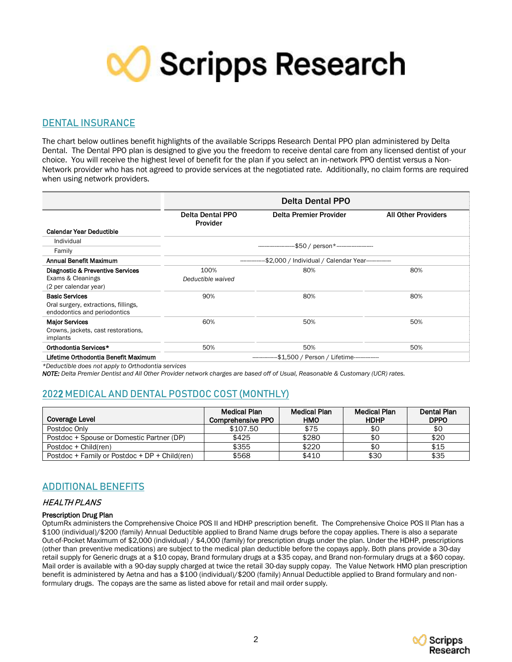

## **DENTAL INSURANCE**

The chart below outlines benefit highlights of the available Scripps Research Dental PPO plan administered by Delta Dental. The Dental PPO plan is designed to give you the freedom to receive dental care from any licensed dentist of your choice. You will receive the highest level of benefit for the plan if you select an in-network PPO dentist versus a Non-Network provider who has not agreed to provide services at the negotiated rate. Additionally, no claim forms are required when using network providers.

|                                                                                               | <b>Delta Dental PPO</b>                                   |                                     |                            |  |
|-----------------------------------------------------------------------------------------------|-----------------------------------------------------------|-------------------------------------|----------------------------|--|
|                                                                                               | <b>Delta Dental PPO</b><br>Provider                       | Delta Premier Provider              | <b>All Other Providers</b> |  |
| <b>Calendar Year Deductible</b>                                                               |                                                           |                                     |                            |  |
| Individual                                                                                    |                                                           |                                     |                            |  |
| Family                                                                                        |                                                           | -\$50 / person*-------------------- |                            |  |
| Annual Benefit Maximum                                                                        | -\$2,000 / Individual / Calendar Year-------------        |                                     |                            |  |
| Diagnostic & Preventive Services<br>Exams & Cleanings<br>(2 per calendar year)                | 100%<br>Deductible waived                                 | 80%                                 | 80%                        |  |
| <b>Basic Services</b><br>Oral surgery, extractions, fillings,<br>endodontics and periodontics | 90%                                                       | 80%                                 | 80%                        |  |
| <b>Major Services</b><br>Crowns, jackets, cast restorations,<br>implants                      | 60%                                                       | 50%                                 | 50%                        |  |
| Orthodontia Services*                                                                         | 50%                                                       | 50%                                 | 50%                        |  |
| Lifetime Orthodontia Benefit Maximum                                                          | ---------------\$1,500 / Person / Lifetime--------------- |                                     |                            |  |

*\*Deductible does not apply to Orthodontia services*

*NOTE: Delta Premier Dentist and All Other Provider network charges are based off of Usual, Reasonable & Customary (UCR) rates.* 

## **202**2 **MEDICAL AND DENTAL POSTDOC COST (MONTHLY)**

| Coverage Level                                  | <b>Medical Plan</b><br><b>Comprehensive PPO</b> | Medical Plan<br>HMO | <b>Medical Plan</b><br><b>HDHP</b> | Dental Plan<br><b>DPPO</b> |
|-------------------------------------------------|-------------------------------------------------|---------------------|------------------------------------|----------------------------|
| Postdoc Only                                    | \$107.50                                        | \$75                | \$0                                | \$0                        |
| Postdoc + Spouse or Domestic Partner (DP)       | \$425                                           | \$280               | \$0                                | \$20                       |
| Postdoc + Child(ren)                            | \$355                                           | \$220               | \$0                                | \$15                       |
| Postdoc + Family or Postdoc + $DP$ + Child(ren) | \$568                                           | \$410               | \$30                               | \$35                       |

## **ADDITIONAL BENEFITS**

## HEALTH PLANS

## Prescription Drug Plan

OptumRx administers the Comprehensive Choice POS II and HDHP prescription benefit. The Comprehensive Choice POS II Plan has a \$100 (individual)/\$200 (family) Annual Deductible applied to Brand Name drugs before the copay applies. There is also a separate Out-of-Pocket Maximum of \$2,000 (individual) / \$4,000 (family) for prescription drugs under the plan. Under the HDHP, prescriptions (other than preventive medications) are subject to the medical plan deductible before the copays apply. Both plans provide a 30-day retail supply for Generic drugs at a \$10 copay, Brand formulary drugs at a \$35 copay, and Brand non-formulary drugs at a \$60 copay. Mail order is available with a 90-day supply charged at twice the retail 30-day supply copay. The Value Network HMO plan prescription benefit is administered by Aetna and has a \$100 (individual)/\$200 (family) Annual Deductible applied to Brand formulary and nonformulary drugs. The copays are the same as listed above for retail and mail order supply.

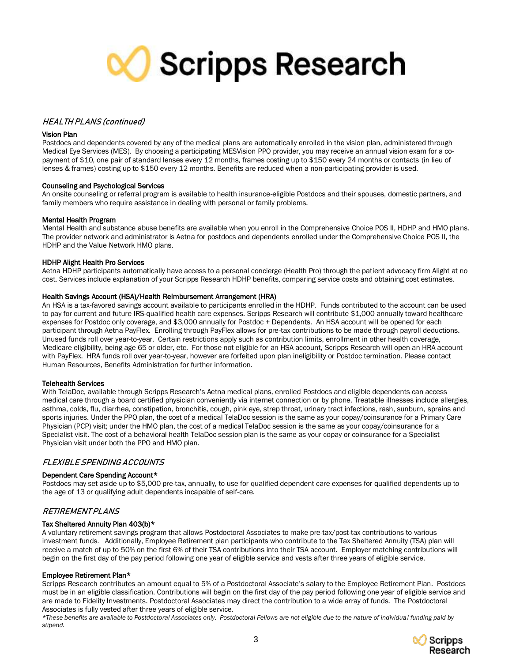

## HEALTH PLANS (continued)

#### Vision Plan

Postdocs and dependents covered by any of the medical plans are automatically enrolled in the vision plan, administered through Medical Eye Services (MES). By choosing a participating MESVision PPO provider, you may receive an annual vision exam for a copayment of \$10, one pair of standard lenses every 12 months, frames costing up to \$150 every 24 months or contacts (in lieu of lenses & frames) costing up to \$150 every 12 months. Benefits are reduced when a non-participating provider is used.

#### Counseling and Psychological Services

An onsite counseling or referral program is available to health insurance-eligible Postdocs and their spouses, domestic partners, and family members who require assistance in dealing with personal or family problems.

#### Mental Health Program

Mental Health and substance abuse benefits are available when you enroll in the Comprehensive Choice POS II, HDHP and HMO plans. The provider network and administrator is Aetna for postdocs and dependents enrolled under the Comprehensive Choice POS II, the HDHP and the Value Network HMO plans.

#### HDHP Alight Health Pro Services

Aetna HDHP participants automatically have access to a personal concierge (Health Pro) through the patient advocacy firm Alight at no cost. Services include explanation of your Scripps Research HDHP benefits, comparing service costs and obtaining cost estimates.

#### Health Savings Account (HSA)/Health Reimbursement Arrangement (HRA)

An HSA is a tax-favored savings account available to participants enrolled in the HDHP. Funds contributed to the account can be used to pay for current and future IRS-qualified health care expenses. Scripps Research will contribute \$1,000 annually toward healthcare expenses for Postdoc only coverage, and \$3,000 annually for Postdoc + Dependents. An HSA account will be opened for each participant through Aetna PayFlex. Enrolling through PayFlex allows for pre-tax contributions to be made through payroll deductions. Unused funds roll over year-to-year. Certain restrictions apply such as contribution limits, enrollment in other health coverage, Medicare eligibility, being age 65 or older, etc. For those not eligible for an HSA account, Scripps Research will open an HRA account with PayFlex. HRA funds roll over year-to-year, however are forfeited upon plan ineligibility or Postdoc termination. Please contact Human Resources, Benefits Administration for further information.

#### Telehealth Services

With TelaDoc, available through Scripps Research's Aetna medical plans, enrolled Postdocs and eligible dependents can access medical care through a board certified physician conveniently via internet connection or by phone. Treatable illnesses include allergies, asthma, colds, flu, diarrhea, constipation, bronchitis, cough, pink eye, strep throat, urinary tract infections, rash, sunburn, sprains and sports injuries. Under the PPO plan, the cost of a medical TelaDoc session is the same as your copay/coinsurance for a Primary Care Physician (PCP) visit; under the HMO plan, the cost of a medical TelaDoc session is the same as your copay/coinsurance for a Specialist visit. The cost of a behavioral health TelaDoc session plan is the same as your copay or coinsurance for a Specialist Physician visit under both the PPO and HMO plan.

## FLEXIBLE SPENDING ACCOUNTS

### Dependent Care Spending Account\*

Postdocs may set aside up to \$5,000 pre-tax, annually, to use for qualified dependent care expenses for qualified dependents up to the age of 13 or qualifying adult dependents incapable of self-care.

### **RETIREMENT PLANS**

### Tax Sheltered Annuity Plan 403(b)\*

A voluntary retirement savings program that allows Postdoctoral Associates to make pre-tax/post-tax contributions to various investment funds. Additionally, Employee Retirement plan participants who contribute to the Tax Sheltered Annuity (TSA) plan will receive a match of up to 50% on the first 6% of their TSA contributions into their TSA account. Employer matching contributions will begin on the first day of the pay period following one year of eligible service and vests after three years of eligible service.

#### Employee Retirement Plan\*

Scripps Research contributes an amount equal to 5% of a Postdoctoral Associate's salary to the Employee Retirement Plan. Postdocs must be in an eligible classification. Contributions will begin on the first day of the pay period following one year of eligible service and are made to Fidelity Investments. Postdoctoral Associates may direct the contribution to a wide array of funds. The Postdoctoral Associates is fully vested after three years of eligible service.

*\*These benefits are available to Postdoctoral Associates only. Postdoctoral Fellows are not eligible due to the nature of individual funding paid by stipend.*

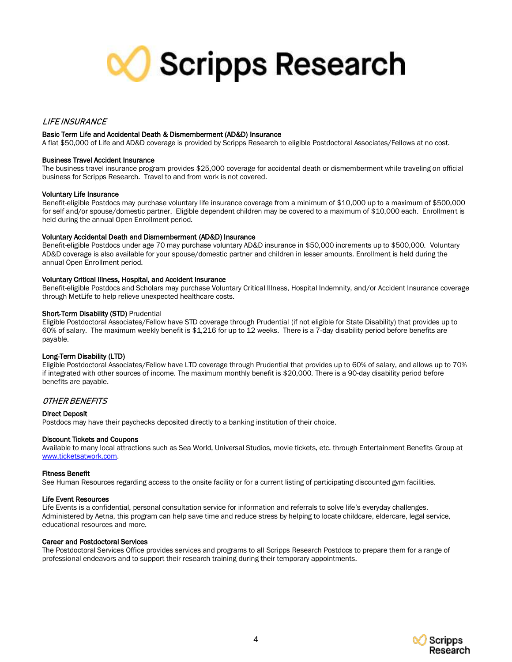

## LIFE INSURANCE

#### Basic Term Life and Accidental Death & Dismemberment (AD&D) Insurance

A flat \$50,000 of Life and AD&D coverage is provided by Scripps Research to eligible Postdoctoral Associates/Fellows at no cost.

#### Business Travel Accident Insurance

The business travel insurance program provides \$25,000 coverage for accidental death or dismemberment while traveling on official business for Scripps Research. Travel to and from work is not covered.

#### Voluntary Life Insurance

Benefit-eligible Postdocs may purchase voluntary life insurance coverage from a minimum of \$10,000 up to a maximum of \$500,000 for self and/or spouse/domestic partner. Eligible dependent children may be covered to a maximum of \$10,000 each. Enrollment is held during the annual Open Enrollment period.

#### Voluntary Accidental Death and Dismemberment (AD&D) Insurance

Benefit-eligible Postdocs under age 70 may purchase voluntary AD&D insurance in \$50,000 increments up to \$500,000. Voluntary AD&D coverage is also available for your spouse/domestic partner and children in lesser amounts. Enrollment is held during the annual Open Enrollment period.

#### Voluntary Critical Illness, Hospital, and Accident Insurance

Benefit-eligible Postdocs and Scholars may purchase Voluntary Critical Illness, Hospital Indemnity, and/or Accident Insurance coverage through MetLife to help relieve unexpected healthcare costs.

#### Short-Term Disability (STD) Prudential

Eligible Postdoctoral Associates/Fellow have STD coverage through Prudential (if not eligible for State Disability) that provides up to 60% of salary. The maximum weekly benefit is \$1,216 for up to 12 weeks. There is a 7-day disability period before benefits are payable.

#### Long-Term Disability (LTD)

Eligible Postdoctoral Associates/Fellow have LTD coverage through Prudential that provides up to 60% of salary, and allows up to 70% if integrated with other sources of income. The maximum monthly benefit is \$20,000. There is a 90-day disability period before benefits are payable.

#### OTHER BENEFITS

#### Direct Deposit

Postdocs may have their paychecks deposited directly to a banking institution of their choice.

#### Discount Tickets and Coupons

Available to many local attractions such as Sea World, Universal Studios, movie tickets, etc. through Entertainment Benefits Group at [www.ticketsatwork.com.](http://www.ticketsatwork.com/)

#### Fitness Benefit

See Human Resources regarding access to the onsite facility or for a current listing of participating discounted gym facilities.

#### Life Event Resources

Life Events is a confidential, personal consultation service for information and referrals to solve life's everyday challenges. Administered by Aetna, this program can help save time and reduce stress by helping to locate childcare, eldercare, legal service, educational resources and more.

#### Career and Postdoctoral Services

The Postdoctoral Services Office provides services and programs to all Scripps Research Postdocs to prepare them for a range of professional endeavors and to support their research training during their temporary appointments.